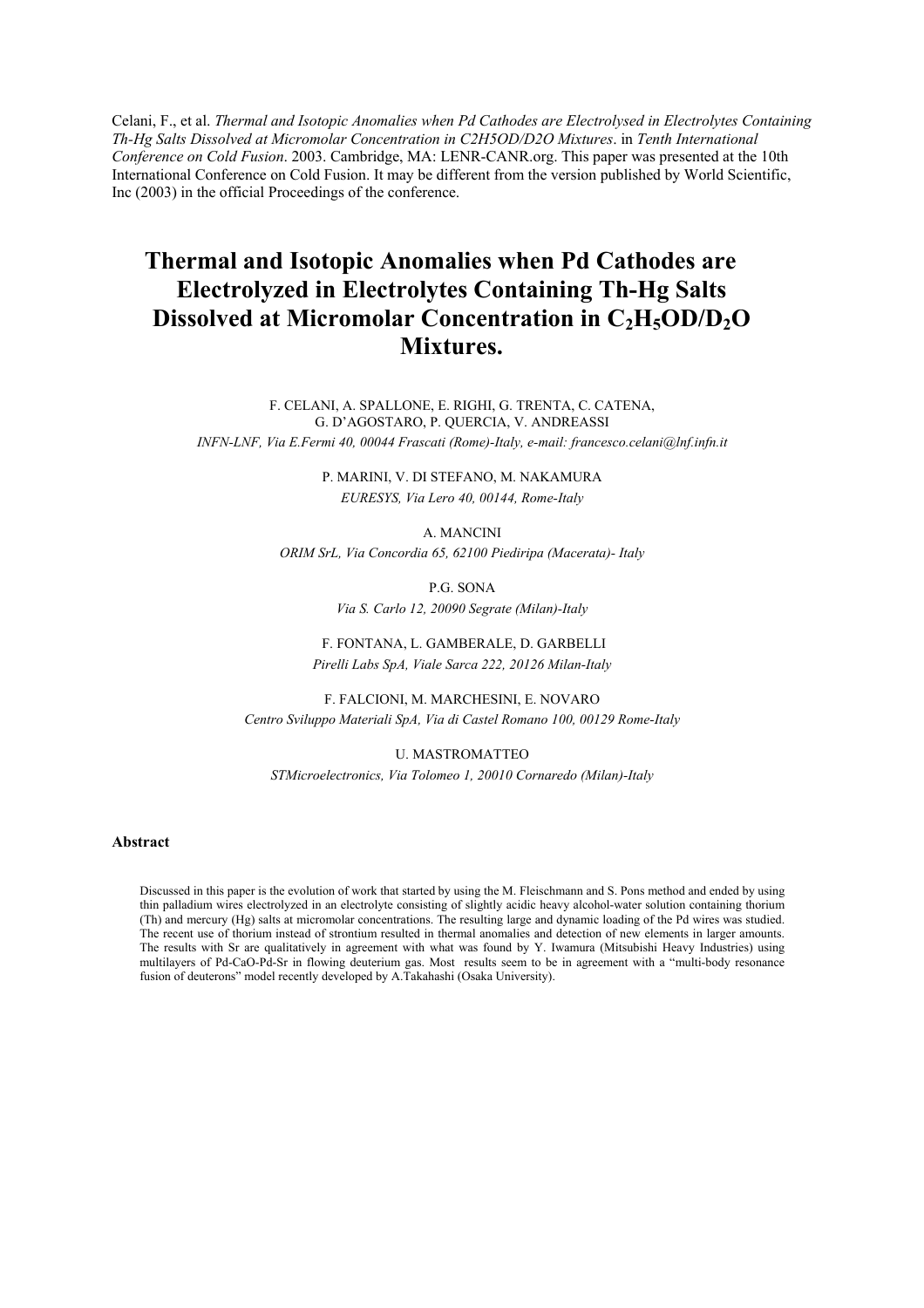Celani, F., et al. *Thermal and Isotopic Anomalies when Pd Cathodes are Electrolysed in Electrolytes Containing Th-Hg Salts Dissolved at Micromolar Concentration in C2H5OD/D2O Mixtures*. in *Tenth International Conference on Cold Fusion*. 2003. Cambridge, MA: LENR-CANR.org. This paper was presented at the 10th International Conference on Cold Fusion. It may be different from the version published by World Scientific, Inc (2003) in the official Proceedings of the conference.

# **Thermal and Isotopic Anomalies when Pd Cathodes are Electrolyzed in Electrolytes Containing Th-Hg Salts Dissolved at Micromolar Concentration in C<sub>2</sub>H<sub>5</sub>OD/D<sub>2</sub>O Mixtures.**

F. CELANI, A. SPALLONE, E. RIGHI, G. TRENTA, C. CATENA, G. D'AGOSTARO, P. QUERCIA, V. ANDREASSI *INFN-LNF, Via E.Fermi 40, 00044 Frascati (Rome)-Italy, e-mail: francesco.celani@lnf.infn.it* 

> P. MARINI, V. DI STEFANO, M. NAKAMURA *EURESYS, Via Lero 40, 00144, Rome-Italy*

> > A. MANCINI

*ORIM SrL, Via Concordia 65, 62100 Piediripa (Macerata)- Italy* 

P.G. SONA

*Via S. Carlo 12, 20090 Segrate (Milan)-Italy* 

 F. FONTANA, L. GAMBERALE, D. GARBELLI *Pirelli Labs SpA, Viale Sarca 222, 20126 Milan-Italy* 

F. FALCIONI, M. MARCHESINI, E. NOVARO *Centro Sviluppo Materiali SpA, Via di Castel Romano 100, 00129 Rome-Italy* 

U. MASTROMATTEO

*STMicroelectronics, Via Tolomeo 1, 20010 Cornaredo (Milan)-Italy* 

# **Abstract**

Discussed in this paper is the evolution of work that started by using the M. Fleischmann and S. Pons method and ended by using thin palladium wires electrolyzed in an electrolyte consisting of slightly acidic heavy alcohol-water solution containing thorium (Th) and mercury (Hg) salts at micromolar concentrations. The resulting large and dynamic loading of the Pd wires was studied. The recent use of thorium instead of strontium resulted in thermal anomalies and detection of new elements in larger amounts. The results with Sr are qualitatively in agreement with what was found by Y. Iwamura (Mitsubishi Heavy Industries) using multilayers of Pd-CaO-Pd-Sr in flowing deuterium gas. Most results seem to be in agreement with a "multi-body resonance fusion of deuterons" model recently developed by A.Takahashi (Osaka University).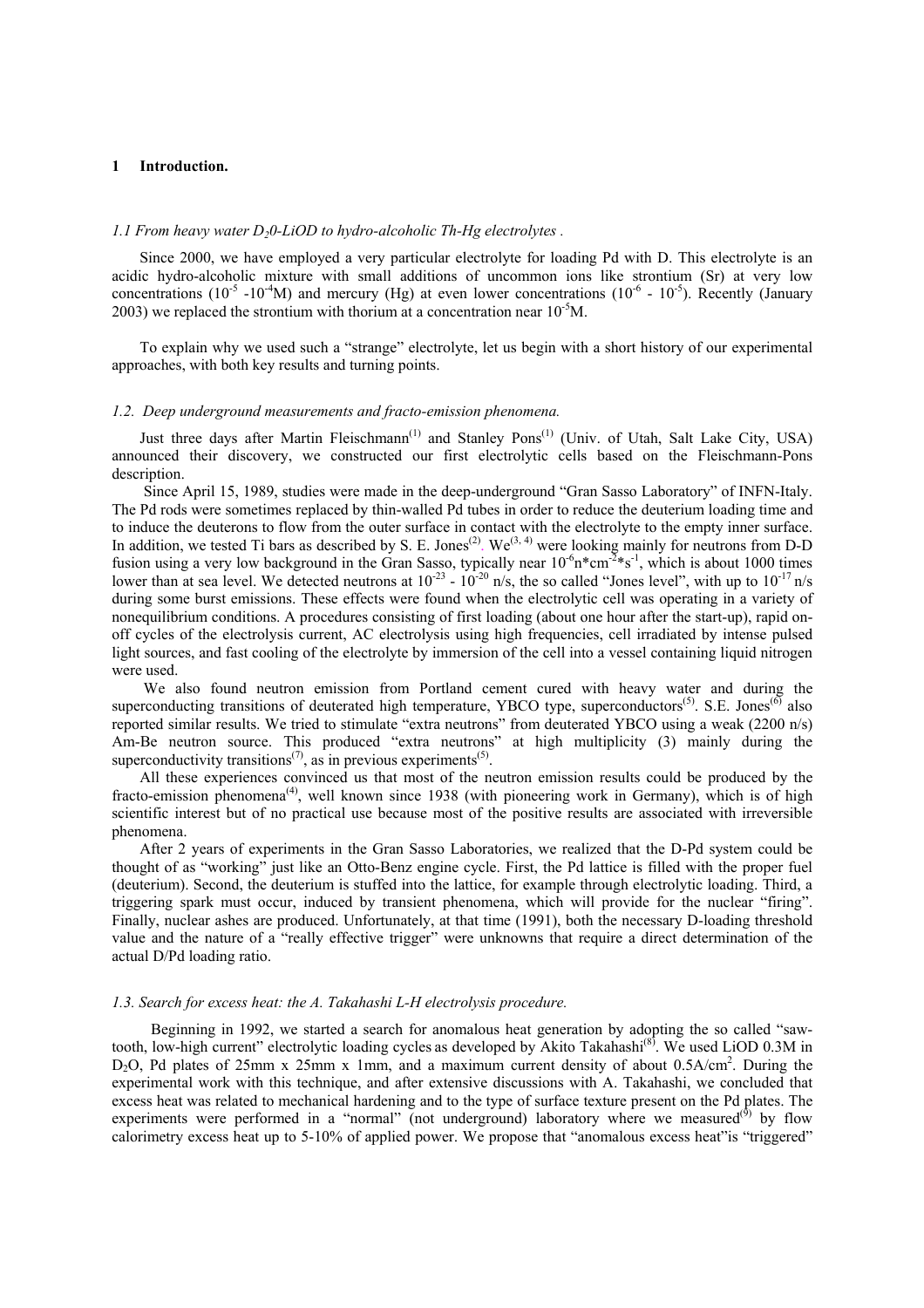# **1 Introduction.**

## *1.1 From heavy water D<sub>2</sub>0-LiOD to hydro-alcoholic Th-Hg electrolytes.*

Since 2000, we have employed a very particular electrolyte for loading Pd with D. This electrolyte is an acidic hydro-alcoholic mixture with small additions of uncommon ions like strontium (Sr) at very low concentrations (10<sup>-5</sup> -10<sup>-4</sup>M) and mercury (Hg) at even lower concentrations (10<sup>-6</sup> - 10<sup>-5</sup>). Recently (January 2003) we replaced the strontium with thorium at a concentration near  $10^{-5}$ M.

To explain why we used such a "strange" electrolyte, let us begin with a short history of our experimental approaches, with both key results and turning points.

# *1.2. Deep underground measurements and fracto-emission phenomena.*

Just three days after Martin Fleischmann<sup>(1)</sup> and Stanley Pons<sup>(1)</sup> (Univ. of Utah, Salt Lake City, USA) announced their discovery, we constructed our first electrolytic cells based on the Fleischmann-Pons description.

 Since April 15, 1989, studies were made in the deep-underground "Gran Sasso Laboratory" of INFN-Italy. The Pd rods were sometimes replaced by thin-walled Pd tubes in order to reduce the deuterium loading time and to induce the deuterons to flow from the outer surface in contact with the electrolyte to the empty inner surface. In addition, we tested Ti bars as described by S. E. Jones<sup>(2)</sup>. We<sup>(3, 4)</sup> were looking mainly for neutrons from D-D fusion using a very low background in the Gran Sasso, typically near  $10^{-6}n^*cm^{-2} * s^{-1}$ , which is about 1000 times lower than at sea level. We detected neutrons at  $10^{-23}$  -  $10^{-20}$  n/s, the so called "Jones level", with up to  $10^{-17}$  n/s during some burst emissions. These effects were found when the electrolytic cell was operating in a variety of nonequilibrium conditions. A procedures consisting of first loading (about one hour after the start-up), rapid onoff cycles of the electrolysis current, AC electrolysis using high frequencies, cell irradiated by intense pulsed light sources, and fast cooling of the electrolyte by immersion of the cell into a vessel containing liquid nitrogen were used.

 We also found neutron emission from Portland cement cured with heavy water and during the superconducting transitions of deuterated high temperature, YBCO type, superconductors<sup>(5)</sup>. S.E. Jones<sup>(6)</sup> also reported similar results. We tried to stimulate "extra neutrons" from deuterated YBCO using a weak (2200 n/s) Am-Be neutron source. This produced "extra neutrons" at high multiplicity (3) mainly during the superconductivity transitions<sup> $(7)$ </sup>, as in previous experiments<sup> $(5)$ </sup>.

All these experiences convinced us that most of the neutron emission results could be produced by the fracto-emission phenomena<sup>(4)</sup>, well known since 1938 (with pioneering work in Germany), which is of high scientific interest but of no practical use because most of the positive results are associated with irreversible phenomena.

After 2 years of experiments in the Gran Sasso Laboratories, we realized that the D-Pd system could be thought of as "working" just like an Otto-Benz engine cycle. First, the Pd lattice is filled with the proper fuel (deuterium). Second, the deuterium is stuffed into the lattice, for example through electrolytic loading. Third, a triggering spark must occur, induced by transient phenomena, which will provide for the nuclear "firing". Finally, nuclear ashes are produced. Unfortunately, at that time (1991), both the necessary D-loading threshold value and the nature of a "really effective trigger" were unknowns that require a direct determination of the actual D/Pd loading ratio.

#### *1.3. Search for excess heat: the A. Takahashi L-H electrolysis procedure.*

Beginning in 1992, we started a search for anomalous heat generation by adopting the so called "sawtooth, low-high current" electrolytic loading cycles as developed by Akito Takahashi<sup>(8)</sup>. We used LiOD 0.3M in D<sub>2</sub>O, Pd plates of 25mm x 25mm x 1mm, and a maximum current density of about 0.5A/cm<sup>2</sup>. During the experimental work with this technique, and after extensive discussions with A. Takahashi, we concluded that excess heat was related to mechanical hardening and to the type of surface texture present on the Pd plates. The experiments were performed in a "normal" (not underground) laboratory where we measured<sup> $(9)$ </sup> by flow calorimetry excess heat up to 5-10% of applied power. We propose that "anomalous excess heat"is "triggered"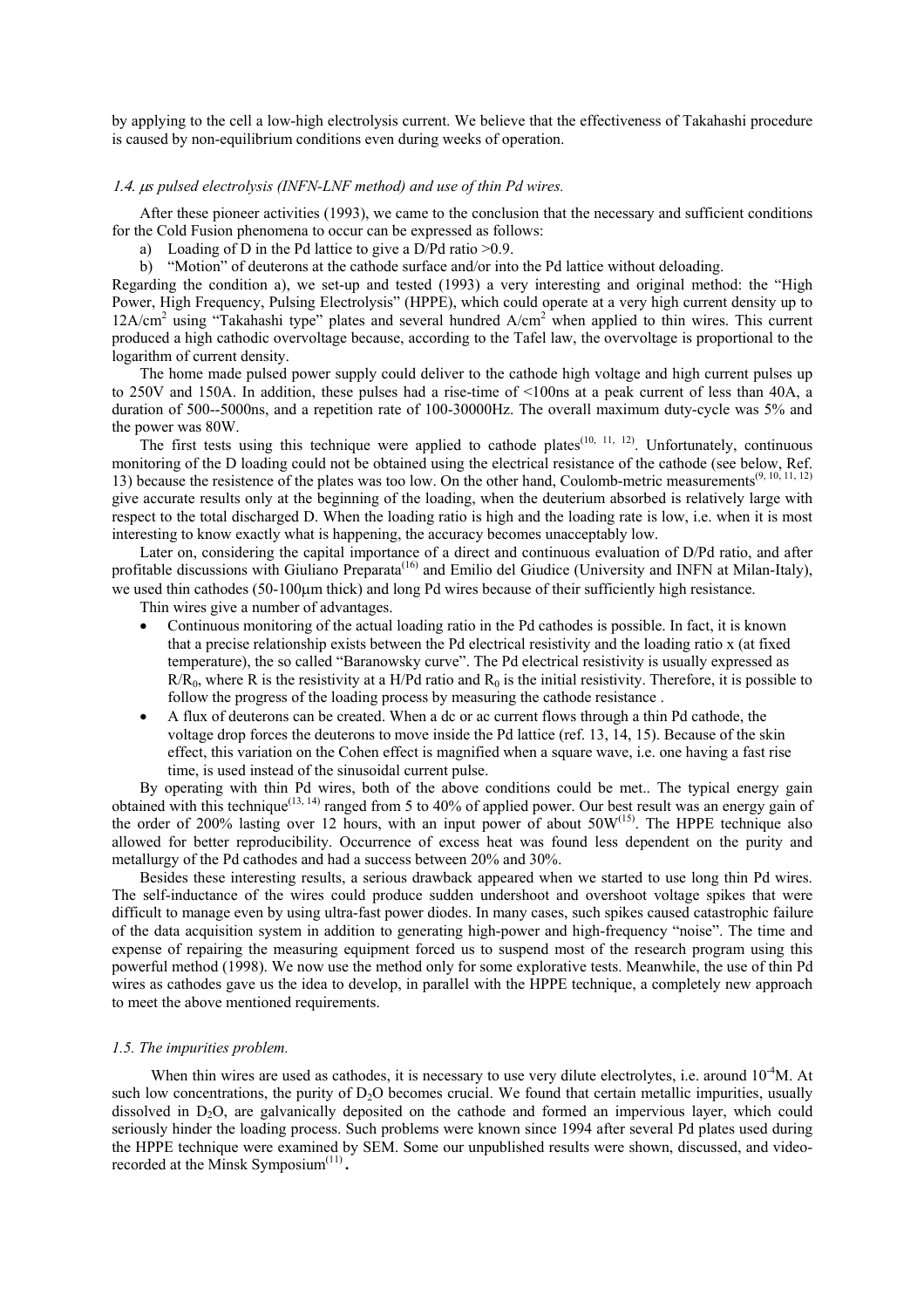by applying to the cell a low-high electrolysis current. We believe that the effectiveness of Takahashi procedure is caused by non-equilibrium conditions even during weeks of operation.

## 1.4. µ*s pulsed electrolysis (INFN-LNF method) and use of thin Pd wires.*

After these pioneer activities (1993), we came to the conclusion that the necessary and sufficient conditions for the Cold Fusion phenomena to occur can be expressed as follows:

- a) Loading of D in the Pd lattice to give a D/Pd ratio  $>0.9$ .
- b) "Motion" of deuterons at the cathode surface and/or into the Pd lattice without deloading.

Regarding the condition a), we set-up and tested (1993) a very interesting and original method: the "High Power, High Frequency, Pulsing Electrolysis" (HPPE), which could operate at a very high current density up to 12A/cm<sup>2</sup> using "Takahashi type" plates and several hundred A/cm<sup>2</sup> when applied to thin wires. This current produced a high cathodic overvoltage because, according to the Tafel law, the overvoltage is proportional to the logarithm of current density.

The home made pulsed power supply could deliver to the cathode high voltage and high current pulses up to 250V and 150A. In addition, these pulses had a rise-time of <100ns at a peak current of less than 40A, a duration of 500--5000ns, and a repetition rate of 100-30000Hz. The overall maximum duty-cycle was 5% and the power was 80W.

The first tests using this technique were applied to cathode plates<sup>(10, 11, 12)</sup>. Unfortunately, continuous monitoring of the D loading could not be obtained using the electrical resistance of the cathode (see below, Ref. 13) because the resistence of the plates was too low. On the other hand, Coulomb-metric measurements<sup>(9, 10, 11, 12)</sup> give accurate results only at the beginning of the loading, when the deuterium absorbed is relatively large with respect to the total discharged D. When the loading ratio is high and the loading rate is low, i.e. when it is most interesting to know exactly what is happening, the accuracy becomes unacceptably low.

Later on, considering the capital importance of a direct and continuous evaluation of D/Pd ratio, and after profitable discussions with Giuliano Preparata<sup>(16)</sup> and Emilio del Giudice (University and INFN at Milan-Italy), we used thin cathodes (50-100µm thick) and long Pd wires because of their sufficiently high resistance.

Thin wires give a number of advantages.

- Continuous monitoring of the actual loading ratio in the Pd cathodes is possible. In fact, it is known that a precise relationship exists between the Pd electrical resistivity and the loading ratio x (at fixed temperature), the so called "Baranowsky curve". The Pd electrical resistivity is usually expressed as  $R/R<sub>0</sub>$ , where R is the resistivity at a H/Pd ratio and  $R<sub>0</sub>$  is the initial resistivity. Therefore, it is possible to follow the progress of the loading process by measuring the cathode resistance .
- A flux of deuterons can be created. When a dc or ac current flows through a thin Pd cathode, the voltage drop forces the deuterons to move inside the Pd lattice (ref. 13, 14, 15). Because of the skin effect, this variation on the Cohen effect is magnified when a square wave, i.e. one having a fast rise time, is used instead of the sinusoidal current pulse.

By operating with thin Pd wires, both of the above conditions could be met.. The typical energy gain obtained with this technique<sup>(13, 14)</sup> ranged from 5 to 40% of applied power. Our best result was an energy gain of the order of 200% lasting over 12 hours, with an input power of about 50W(15). The HPPE technique also allowed for better reproducibility. Occurrence of excess heat was found less dependent on the purity and metallurgy of the Pd cathodes and had a success between 20% and 30%.

Besides these interesting results, a serious drawback appeared when we started to use long thin Pd wires. The self-inductance of the wires could produce sudden undershoot and overshoot voltage spikes that were difficult to manage even by using ultra-fast power diodes. In many cases, such spikes caused catastrophic failure of the data acquisition system in addition to generating high-power and high-frequency "noise". The time and expense of repairing the measuring equipment forced us to suspend most of the research program using this powerful method (1998). We now use the method only for some explorative tests. Meanwhile, the use of thin Pd wires as cathodes gave us the idea to develop, in parallel with the HPPE technique, a completely new approach to meet the above mentioned requirements.

## *1.5. The impurities problem.*

When thin wires are used as cathodes, it is necessary to use very dilute electrolytes, i.e. around  $10^{-4}M$ . At such low concentrations, the purity of  $D_2O$  becomes crucial. We found that certain metallic impurities, usually dissolved in D<sub>2</sub>O, are galvanically deposited on the cathode and formed an impervious layer, which could seriously hinder the loading process. Such problems were known since 1994 after several Pd plates used during the HPPE technique were examined by SEM. Some our unpublished results were shown, discussed, and videorecorded at the Minsk Symposium<sup>(11)</sup>.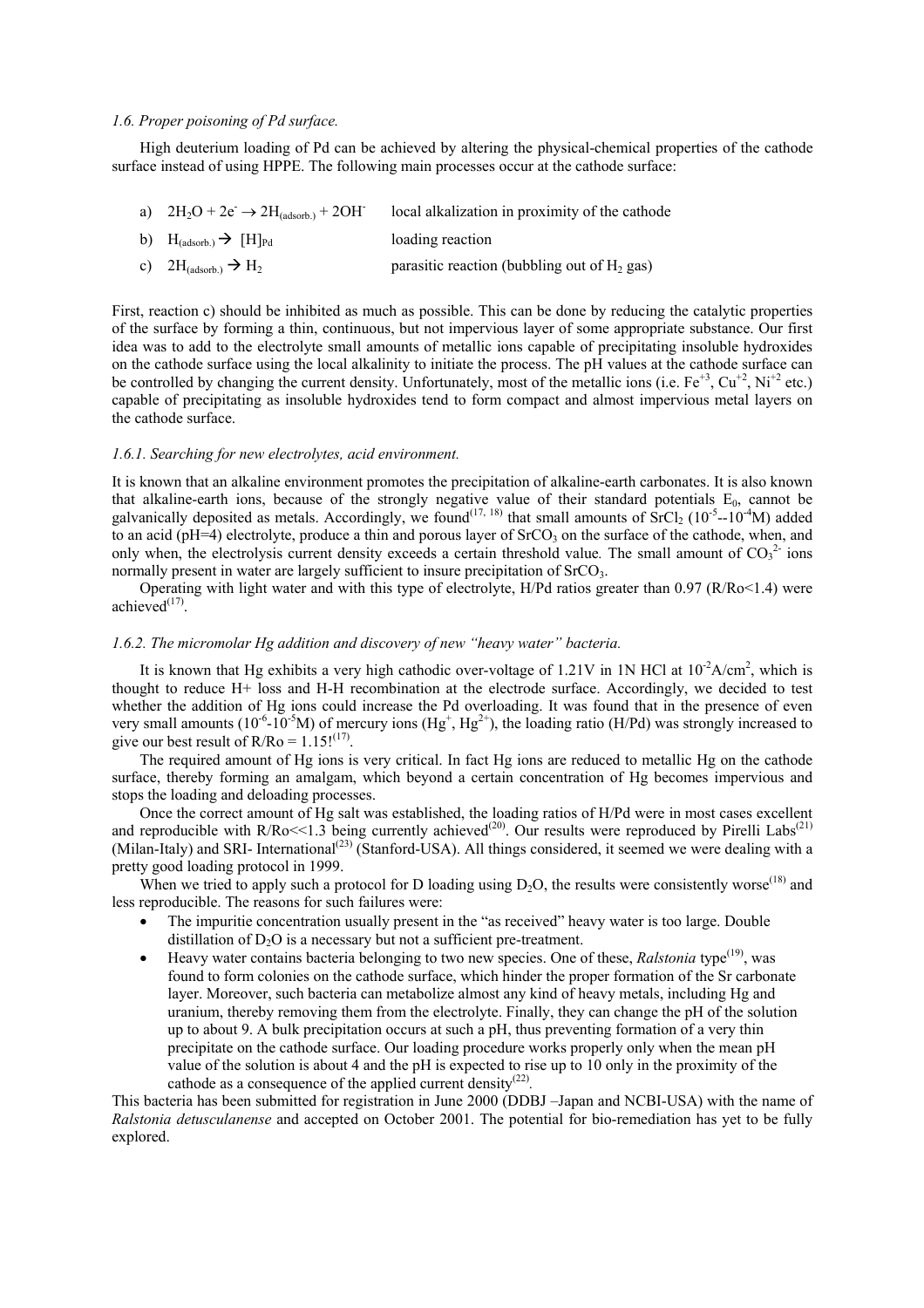## *1.6. Proper poisoning of Pd surface.*

High deuterium loading of Pd can be achieved by altering the physical-chemical properties of the cathode surface instead of using HPPE. The following main processes occur at the cathode surface:

- a)  $2H_2O + 2e^- \rightarrow 2H_{(adsoth.)} + 2OH^$ local alkalization in proximity of the cathode
- b)  $H_{(adsorb.)} \rightarrow [H]_{Pd}$  loading reaction
- c)  $2H_{(adsorb)} \rightarrow H_2$  parasitic reaction (bubbling out of H<sub>2</sub> gas)

First, reaction c) should be inhibited as much as possible. This can be done by reducing the catalytic properties of the surface by forming a thin, continuous, but not impervious layer of some appropriate substance. Our first idea was to add to the electrolyte small amounts of metallic ions capable of precipitating insoluble hydroxides on the cathode surface using the local alkalinity to initiate the process. The pH values at the cathode surface can be controlled by changing the current density. Unfortunately, most of the metallic ions (i.e.  $Fe^{+3}$ ,  $Cu^{+2}$ , Ni<sup>+2</sup> etc.) capable of precipitating as insoluble hydroxides tend to form compact and almost impervious metal layers on the cathode surface.

## *1.6.1. Searching for new electrolytes, acid environment.*

It is known that an alkaline environment promotes the precipitation of alkaline-earth carbonates. It is also known that alkaline-earth ions, because of the strongly negative value of their standard potentials  $E_0$ , cannot be galvanically deposited as metals. Accordingly, we found<sup>(17, 18)</sup> that small amounts of  $\text{SrCl}_2$  (10<sup>-5</sup>--10<sup>-4</sup>M) added to an acid ( $pH=4$ ) electrolyte, produce a thin and porous layer of  $S<sub>rcO</sub>$  on the surface of the cathode, when, and only when, the electrolysis current density exceeds a certain threshold value. The small amount of  $CO<sub>3</sub><sup>2</sup>$  ions normally present in water are largely sufficient to insure precipitation of  $S<sub>r</sub>CO<sub>3</sub>$ .

Operating with light water and with this type of electrolyte, H/Pd ratios greater than 0.97 (R/Ro<1.4) were achieved $^{(17)}$ .

# *1.6.2. The micromolar Hg addition and discovery of new "heavy water" bacteria.*

It is known that Hg exhibits a very high cathodic over-voltage of 1.21V in 1N HCl at  $10^{-2}A/cm^2$ , which is thought to reduce H+ loss and H-H recombination at the electrode surface. Accordingly, we decided to test whether the addition of Hg ions could increase the Pd overloading. It was found that in the presence of even very small amounts ( $10^{-6}$ - $10^{-5}$ M) of mercury ions (Hg<sup>+</sup>, Hg<sup>2+</sup>), the loading ratio (H/Pd) was strongly increased to give our best result of  $R/Ro = 1.15!^{(17)}$ .

The required amount of Hg ions is very critical. In fact Hg ions are reduced to metallic Hg on the cathode surface, thereby forming an amalgam, which beyond a certain concentration of Hg becomes impervious and stops the loading and deloading processes.

Once the correct amount of Hg salt was established, the loading ratios of H/Pd were in most cases excellent and reproducible with R/Ro $<<$ 1.3 being currently achieved<sup>(20)</sup>. Our results were reproduced by Pirelli Labs<sup>(21)</sup> (Milan-Italy) and SRI- International<sup>(23)</sup> (Stanford-USA). All things considered, it seemed we were dealing with a pretty good loading protocol in 1999.

When we tried to apply such a protocol for D loading using  $D_2O$ , the results were consistently worse<sup>(18)</sup> and less reproducible. The reasons for such failures were:

- The impuritie concentration usually present in the "as received" heavy water is too large. Double distillation of  $D_2O$  is a necessary but not a sufficient pre-treatment.
- Heavy water contains bacteria belonging to two new species. One of these, *Ralstonia* type<sup>(19)</sup>, was found to form colonies on the cathode surface, which hinder the proper formation of the Sr carbonate layer. Moreover, such bacteria can metabolize almost any kind of heavy metals, including Hg and uranium, thereby removing them from the electrolyte. Finally, they can change the pH of the solution up to about 9. A bulk precipitation occurs at such a pH, thus preventing formation of a very thin precipitate on the cathode surface. Our loading procedure works properly only when the mean pH value of the solution is about 4 and the pH is expected to rise up to 10 only in the proximity of the cathode as a consequence of the applied current density(22)*.*

This bacteria has been submitted for registration in June 2000 (DDBJ –Japan and NCBI-USA) with the name of *Ralstonia detusculanense* and accepted on October 2001. The potential for bio-remediation has yet to be fully explored.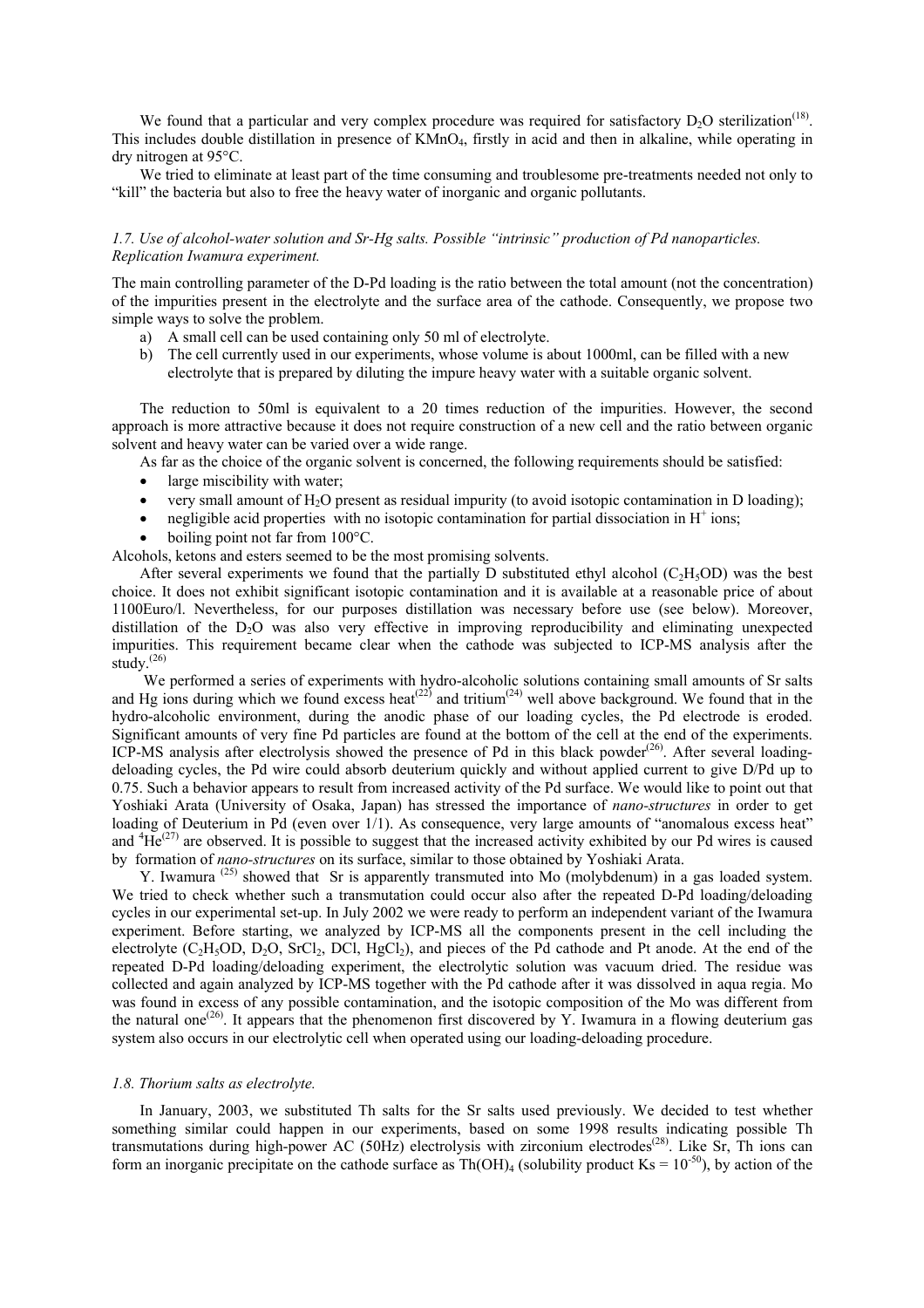We found that a particular and very complex procedure was required for satisfactory  $D_2O$  sterilization<sup>(18)</sup>. This includes double distillation in presence of KMnO<sub>4</sub>, firstly in acid and then in alkaline, while operating in dry nitrogen at 95°C.

We tried to eliminate at least part of the time consuming and troublesome pre-treatments needed not only to "kill" the bacteria but also to free the heavy water of inorganic and organic pollutants.

# *1.7. Use of alcohol-water solution and Sr-Hg salts. Possible "intrinsic" production of Pd nanoparticles. Replication Iwamura experiment.*

The main controlling parameter of the D-Pd loading is the ratio between the total amount (not the concentration) of the impurities present in the electrolyte and the surface area of the cathode. Consequently, we propose two simple ways to solve the problem.

- a) A small cell can be used containing only 50 ml of electrolyte.
- b) The cell currently used in our experiments, whose volume is about 1000ml, can be filled with a new electrolyte that is prepared by diluting the impure heavy water with a suitable organic solvent.

The reduction to 50ml is equivalent to a 20 times reduction of the impurities. However, the second approach is more attractive because it does not require construction of a new cell and the ratio between organic solvent and heavy water can be varied over a wide range.

As far as the choice of the organic solvent is concerned, the following requirements should be satisfied:

- large miscibility with water:
- very small amount of  $H_2O$  present as residual impurity (to avoid isotopic contamination in D loading);
- negligible acid properties with no isotopic contamination for partial dissociation in  $H^+$  ions;
- boiling point not far from  $100^{\circ}$ C.

Alcohols, ketons and esters seemed to be the most promising solvents.

After several experiments we found that the partially D substituted ethyl alcohol  $(C_2H_3OD)$  was the best choice. It does not exhibit significant isotopic contamination and it is available at a reasonable price of about 1100Euro/l. Nevertheless, for our purposes distillation was necessary before use (see below). Moreover, distillation of the D<sub>2</sub>O was also very effective in improving reproducibility and eliminating unexpected impurities. This requirement became clear when the cathode was subjected to ICP-MS analysis after the study. $^{(26)}$ 

 We performed a series of experiments with hydro-alcoholic solutions containing small amounts of Sr salts and Hg ions during which we found excess heat<sup>(22)</sup> and tritium<sup>(24)</sup> well above background. We found that in the hydro-alcoholic environment, during the anodic phase of our loading cycles, the Pd electrode is eroded. Significant amounts of very fine Pd particles are found at the bottom of the cell at the end of the experiments. ICP-MS analysis after electrolysis showed the presence of Pd in this black powder<sup>(26)</sup>. After several loadingdeloading cycles, the Pd wire could absorb deuterium quickly and without applied current to give D/Pd up to 0.75. Such a behavior appears to result from increased activity of the Pd surface. We would like to point out that Yoshiaki Arata (University of Osaka, Japan) has stressed the importance of *nano-structures* in order to get loading of Deuterium in Pd (even over 1/1). As consequence, very large amounts of "anomalous excess heat" and  ${}^{4}He^{(27)}$  are observed. It is possible to suggest that the increased activity exhibited by our Pd wires is caused by formation of *nano-structures* on its surface, similar to those obtained by Yoshiaki Arata.

Y. Iwamura <sup>(25)</sup> showed that Sr is apparently transmuted into Mo (molybdenum) in a gas loaded system. We tried to check whether such a transmutation could occur also after the repeated D-Pd loading/deloading cycles in our experimental set-up. In July 2002 we were ready to perform an independent variant of the Iwamura experiment. Before starting, we analyzed by ICP-MS all the components present in the cell including the electrolyte  $(C_2H_5OD, D_2O, SrCl_2, DCl, HgCl_2)$ , and pieces of the Pd cathode and Pt anode. At the end of the repeated D-Pd loading/deloading experiment, the electrolytic solution was vacuum dried. The residue was collected and again analyzed by ICP-MS together with the Pd cathode after it was dissolved in aqua regia. Mo was found in excess of any possible contamination, and the isotopic composition of the Mo was different from the natural one<sup>(26)</sup>. It appears that the phenomenon first discovered by Y. Iwamura in a flowing deuterium gas system also occurs in our electrolytic cell when operated using our loading-deloading procedure.

#### *1.8. Thorium salts as electrolyte.*

In January, 2003, we substituted Th salts for the Sr salts used previously. We decided to test whether something similar could happen in our experiments, based on some 1998 results indicating possible Th transmutations during high-power AC (50Hz) electrolysis with zirconium electrodes<sup> $(28)$ </sup>. Like Sr, Th ions can form an inorganic precipitate on the cathode surface as  $Th(OH)_4$  (solubility product Ks =  $10^{-50}$ ), by action of the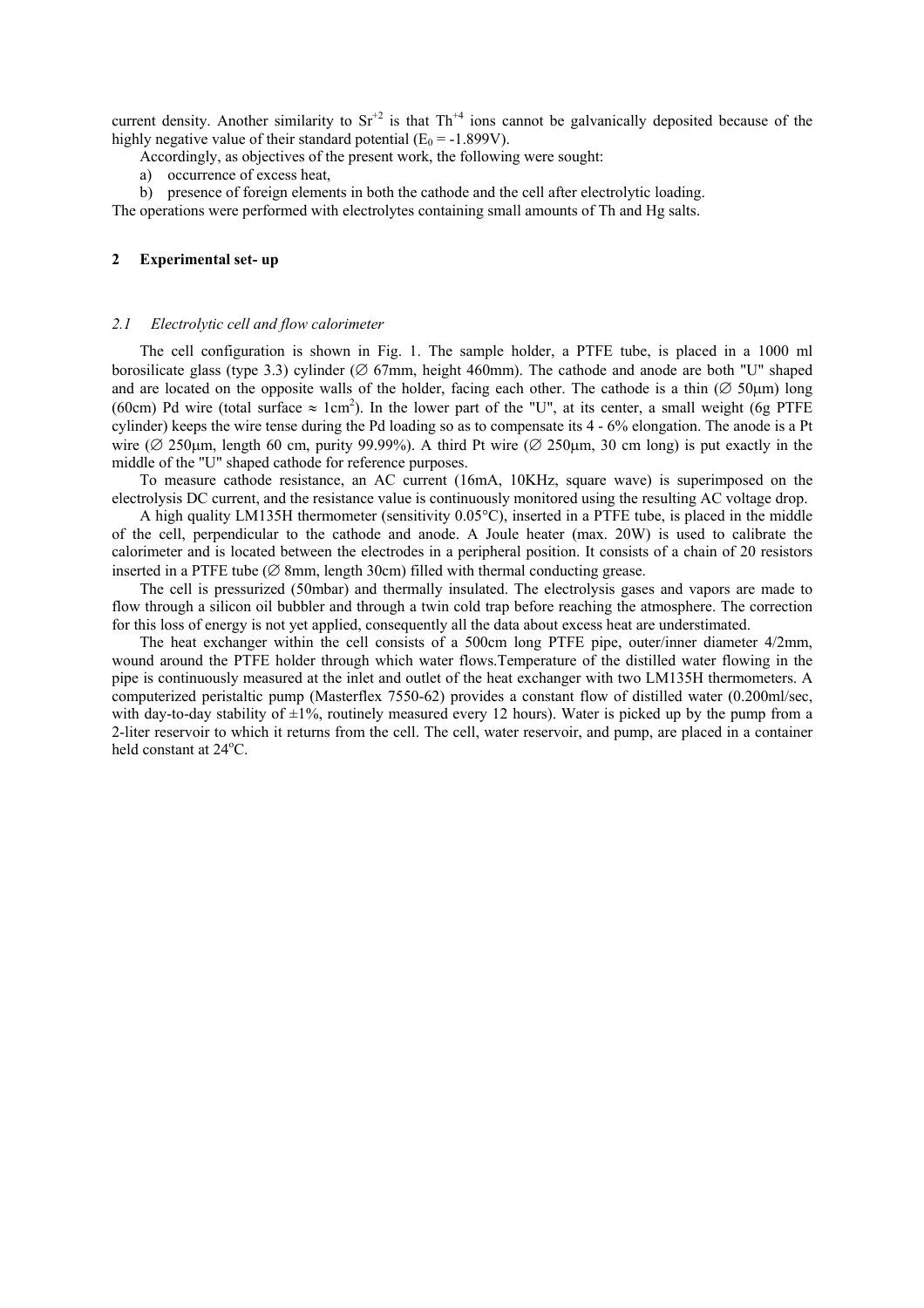current density. Another similarity to  $Sr^{+2}$  is that Th<sup>+4</sup> ions cannot be galvanically deposited because of the highly negative value of their standard potential ( $E_0 = -1.899V$ ).

Accordingly, as objectives of the present work, the following were sought:

a) occurrence of excess heat,

b) presence of foreign elements in both the cathode and the cell after electrolytic loading. The operations were performed with electrolytes containing small amounts of Th and Hg salts.

### **2 Experimental set- up**

# *2.1 Electrolytic cell and flow calorimeter*

The cell configuration is shown in Fig. 1. The sample holder, a PTFE tube, is placed in a 1000 ml borosilicate glass (type 3.3) cylinder ( $\varnothing$  67mm, height 460mm). The cathode and anode are both "U" shaped and are located on the opposite walls of the holder, facing each other. The cathode is a thin ( $\varnothing$  50 km) long (60cm) Pd wire (total surface  $\approx 1$ cm<sup>2</sup>). In the lower part of the "U", at its center, a small weight (6g PTFE cylinder) keeps the wire tense during the Pd loading so as to compensate its 4 - 6% elongation. The anode is a Pt wire ( $\varnothing$  250µm, length 60 cm, purity 99.99%). A third Pt wire ( $\varnothing$  250µm, 30 cm long) is put exactly in the middle of the "U" shaped cathode for reference purposes.

To measure cathode resistance, an AC current (16mA, 10KHz, square wave) is superimposed on the electrolysis DC current, and the resistance value is continuously monitored using the resulting AC voltage drop.

A high quality LM135H thermometer (sensitivity 0.05°C), inserted in a PTFE tube, is placed in the middle of the cell, perpendicular to the cathode and anode. A Joule heater (max. 20W) is used to calibrate the calorimeter and is located between the electrodes in a peripheral position. It consists of a chain of 20 resistors inserted in a PTFE tube ( $\varnothing$  8mm, length 30cm) filled with thermal conducting grease.

The cell is pressurized (50mbar) and thermally insulated. The electrolysis gases and vapors are made to flow through a silicon oil bubbler and through a twin cold trap before reaching the atmosphere. The correction for this loss of energy is not yet applied, consequently all the data about excess heat are understimated.

The heat exchanger within the cell consists of a 500cm long PTFE pipe, outer/inner diameter 4/2mm, wound around the PTFE holder through which water flows.Temperature of the distilled water flowing in the pipe is continuously measured at the inlet and outlet of the heat exchanger with two LM135H thermometers. A computerized peristaltic pump (Masterflex 7550-62) provides a constant flow of distilled water (0.200ml/sec, with day-to-day stability of  $\pm 1\%$ , routinely measured every 12 hours). Water is picked up by the pump from a 2-liter reservoir to which it returns from the cell. The cell, water reservoir, and pump, are placed in a container held constant at 24°C.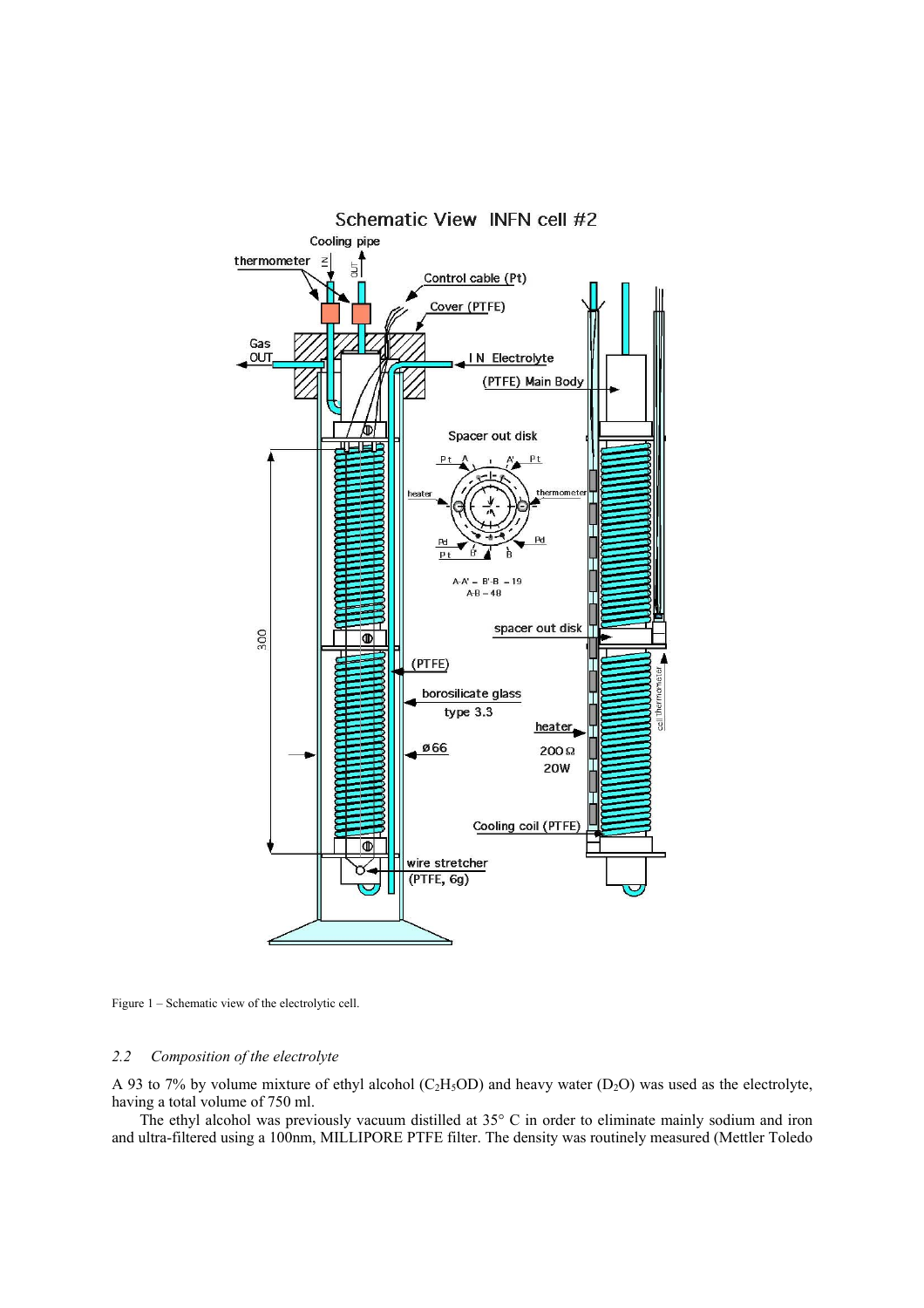

Figure 1 – Schematic view of the electrolytic cell.

# *2.2 Composition of the electrolyte*

A 93 to 7% by volume mixture of ethyl alcohol (C<sub>2</sub>H<sub>5</sub>OD) and heavy water (D<sub>2</sub>O) was used as the electrolyte, having a total volume of 750 ml.

The ethyl alcohol was previously vacuum distilled at 35° C in order to eliminate mainly sodium and iron and ultra-filtered using a 100nm, MILLIPORE PTFE filter. The density was routinely measured (Mettler Toledo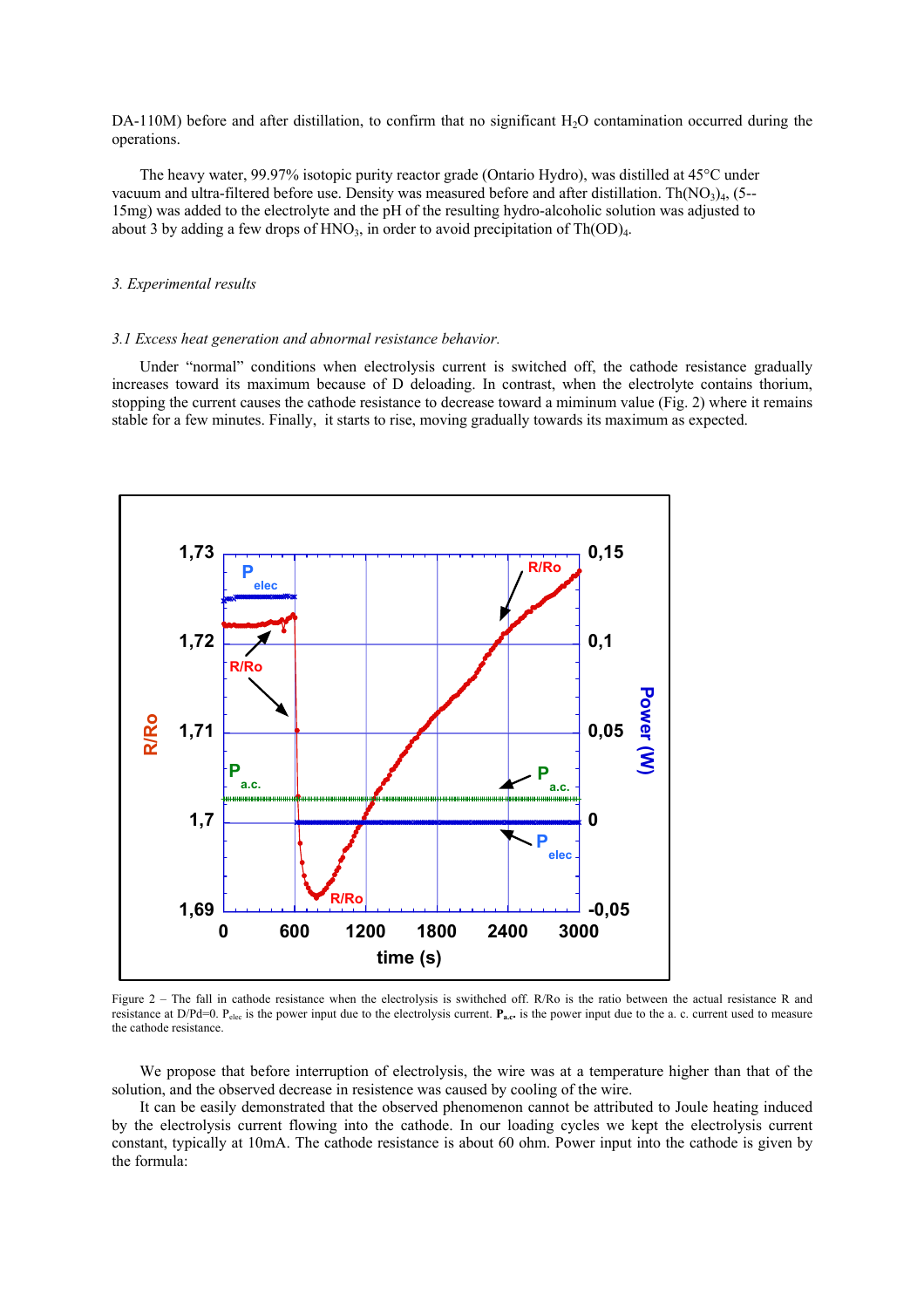DA-110M) before and after distillation, to confirm that no significant H<sub>2</sub>O contamination occurred during the operations.

The heavy water, 99.97% isotopic purity reactor grade (Ontario Hydro), was distilled at 45°C under vacuum and ultra-filtered before use. Density was measured before and after distillation. Th $(NO<sub>3</sub>)<sub>4</sub>$ , (5--15mg) was added to the electrolyte and the pH of the resulting hydro-alcoholic solution was adjusted to about 3 by adding a few drops of HNO<sub>3</sub>, in order to avoid precipitation of  $Th(OD)<sub>4</sub>$ .

# *3. Experimental results*

#### *3.1 Excess heat generation and abnormal resistance behavior.*

Under "normal" conditions when electrolysis current is switched off, the cathode resistance gradually increases toward its maximum because of D deloading. In contrast, when the electrolyte contains thorium, stopping the current causes the cathode resistance to decrease toward a miminum value (Fig. 2) where it remains stable for a few minutes. Finally, it starts to rise, moving gradually towards its maximum as expected.



Figure 2 – The fall in cathode resistance when the electrolysis is swithched off. R/Ro is the ratio between the actual resistance R and resistance at D/Pd=0. P<sub>elec</sub> is the power input due to the electrolysis current. P<sub>a.c</sub>. is the power input due to the a. c. current used to measure the cathode resistance.

We propose that before interruption of electrolysis, the wire was at a temperature higher than that of the solution, and the observed decrease in resistence was caused by cooling of the wire.

It can be easily demonstrated that the observed phenomenon cannot be attributed to Joule heating induced by the electrolysis current flowing into the cathode. In our loading cycles we kept the electrolysis current constant, typically at 10mA. The cathode resistance is about 60 ohm. Power input into the cathode is given by the formula: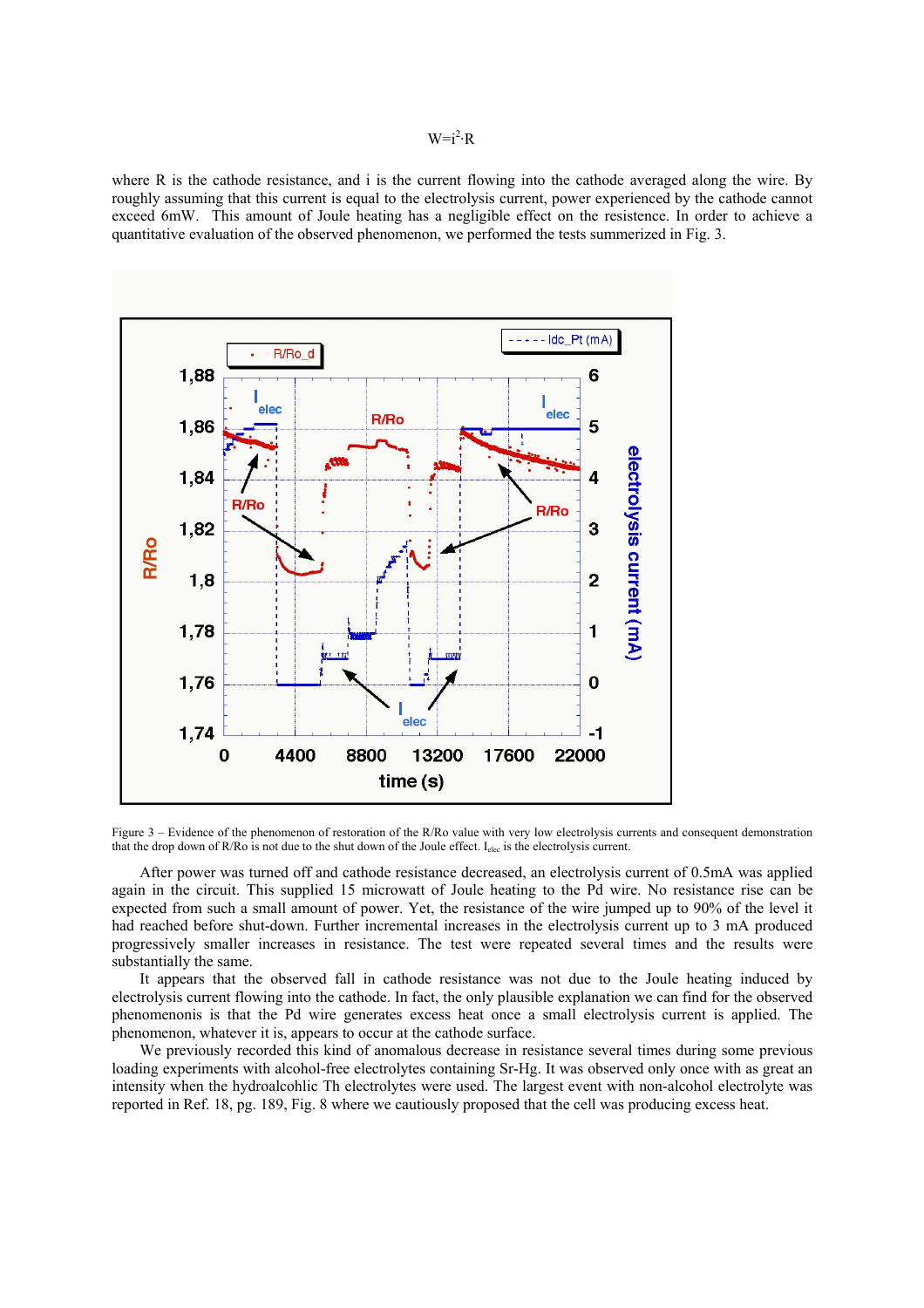# $W=i^2 \cdot R$

where R is the cathode resistance, and i is the current flowing into the cathode averaged along the wire. By roughly assuming that this current is equal to the electrolysis current, power experienced by the cathode cannot exceed 6mW. This amount of Joule heating has a negligible effect on the resistence. In order to achieve a quantitative evaluation of the observed phenomenon, we performed the tests summerized in Fig. 3.



Figure 3 – Evidence of the phenomenon of restoration of the R/Ro value with very low electrolysis currents and consequent demonstration that the drop down of R/Ro is not due to the shut down of the Joule effect. I<sub>elec</sub> is the electrolysis current.

After power was turned off and cathode resistance decreased, an electrolysis current of 0.5mA was applied again in the circuit. This supplied 15 microwatt of Joule heating to the Pd wire. No resistance rise can be expected from such a small amount of power. Yet, the resistance of the wire jumped up to 90% of the level it had reached before shut-down. Further incremental increases in the electrolysis current up to 3 mA produced progressively smaller increases in resistance. The test were repeated several times and the results were substantially the same.

It appears that the observed fall in cathode resistance was not due to the Joule heating induced by electrolysis current flowing into the cathode. In fact, the only plausible explanation we can find for the observed phenomenonis is that the Pd wire generates excess heat once a small electrolysis current is applied. The phenomenon, whatever it is, appears to occur at the cathode surface.

We previously recorded this kind of anomalous decrease in resistance several times during some previous loading experiments with alcohol-free electrolytes containing Sr-Hg. It was observed only once with as great an intensity when the hydroalcohlic Th electrolytes were used. The largest event with non-alcohol electrolyte was reported in Ref. 18, pg. 189, Fig. 8 where we cautiously proposed that the cell was producing excess heat.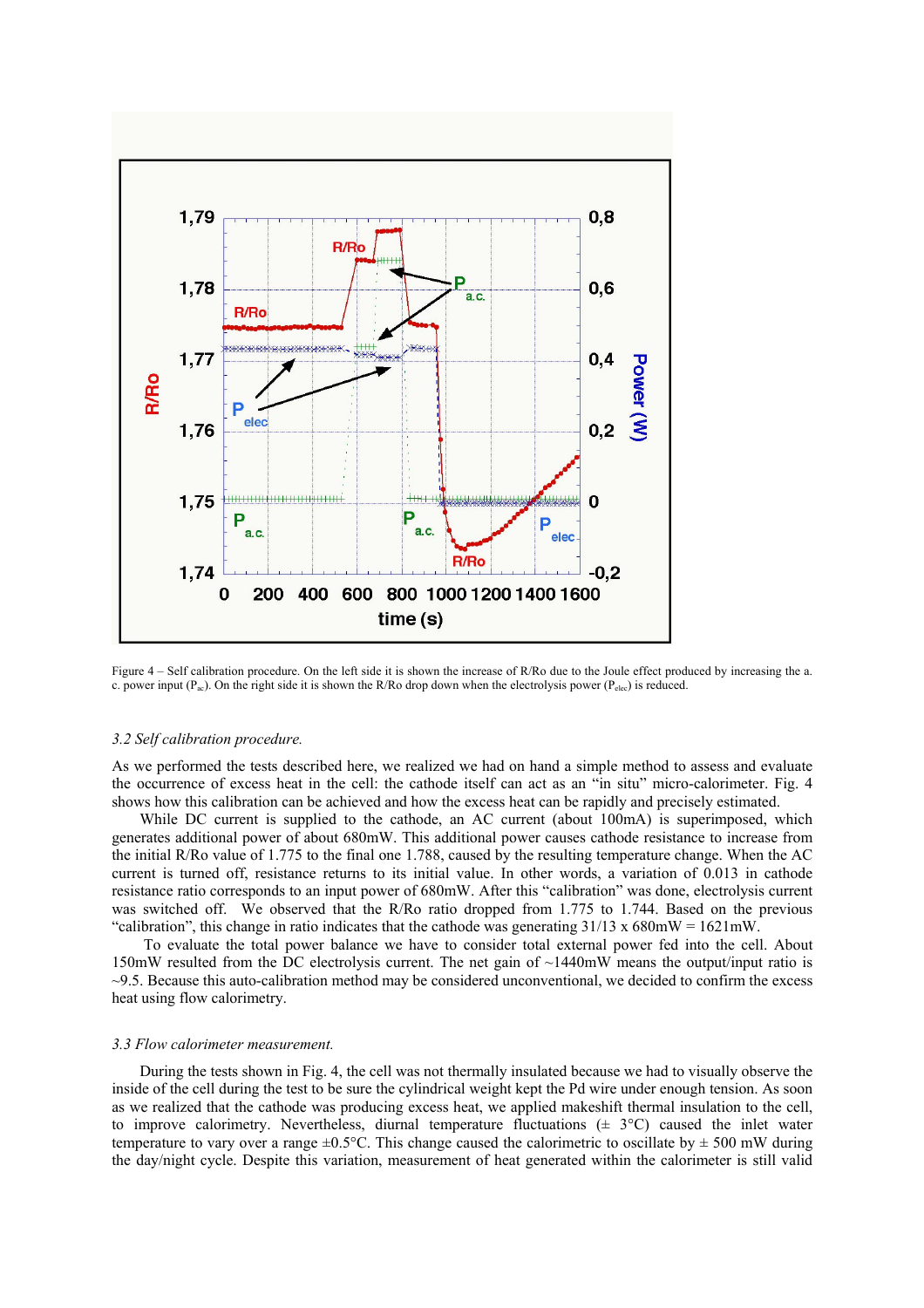

Figure 4 – Self calibration procedure. On the left side it is shown the increase of R/Ro due to the Joule effect produced by increasing the a. c. power input ( $P_{ac}$ ). On the right side it is shown the R/Ro drop down when the electrolysis power ( $P_{elec}$ ) is reduced.

# *3.2 Self calibration procedure.*

As we performed the tests described here, we realized we had on hand a simple method to assess and evaluate the occurrence of excess heat in the cell: the cathode itself can act as an "in situ" micro-calorimeter. Fig. 4 shows how this calibration can be achieved and how the excess heat can be rapidly and precisely estimated.

While DC current is supplied to the cathode, an AC current (about 100mA) is superimposed, which generates additional power of about 680mW. This additional power causes cathode resistance to increase from the initial R/Ro value of 1.775 to the final one 1.788, caused by the resulting temperature change. When the AC current is turned off, resistance returns to its initial value. In other words, a variation of 0.013 in cathode resistance ratio corresponds to an input power of 680mW. After this "calibration" was done, electrolysis current was switched off. We observed that the R/Ro ratio dropped from 1.775 to 1.744. Based on the previous "calibration", this change in ratio indicates that the cathode was generating  $31/13 \times 680$  mW =  $1621$  mW.

To evaluate the total power balance we have to consider total external power fed into the cell. About 150mW resulted from the DC electrolysis current. The net gain of ~1440mW means the output/input ratio is  $\sim$ 9.5. Because this auto-calibration method may be considered unconventional, we decided to confirm the excess heat using flow calorimetry.

#### *3.3 Flow calorimeter measurement.*

During the tests shown in Fig. 4, the cell was not thermally insulated because we had to visually observe the inside of the cell during the test to be sure the cylindrical weight kept the Pd wire under enough tension. As soon as we realized that the cathode was producing excess heat, we applied makeshift thermal insulation to the cell, to improve calorimetry. Nevertheless, diurnal temperature fluctuations  $(\pm 3^{\circ}C)$  caused the inlet water temperature to vary over a range  $\pm 0.5^{\circ}$ C. This change caused the calorimetric to oscillate by  $\pm 500$  mW during the day/night cycle. Despite this variation, measurement of heat generated within the calorimeter is still valid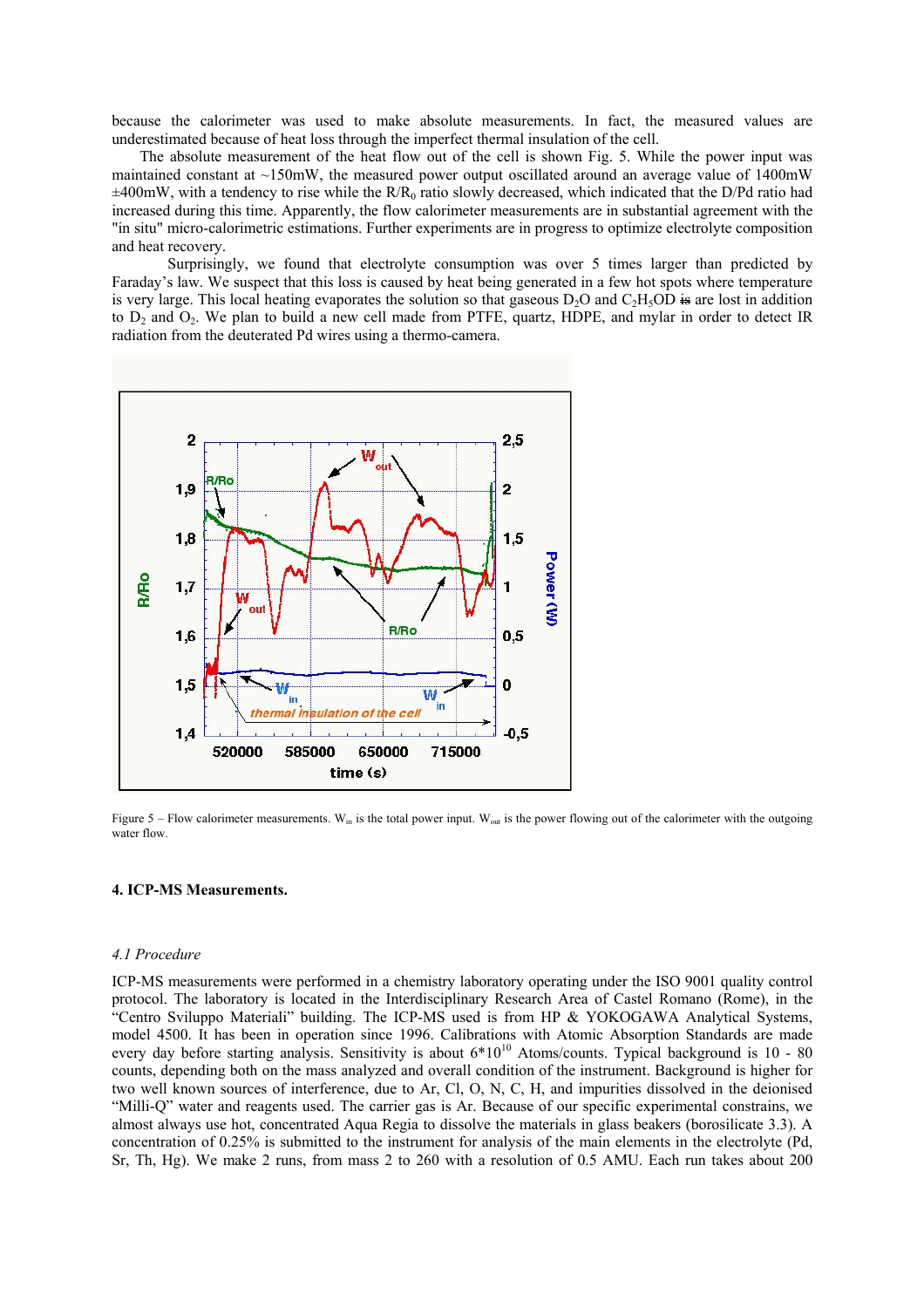because the calorimeter was used to make absolute measurements. In fact, the measured values are underestimated because of heat loss through the imperfect thermal insulation of the cell.

The absolute measurement of the heat flow out of the cell is shown Fig. 5. While the power input was maintained constant at  $\sim$ 150mW, the measured power output oscillated around an average value of 1400mW  $\pm 400$ mW, with a tendency to rise while the R/R<sub>0</sub> ratio slowly decreased, which indicated that the D/Pd ratio had increased during this time. Apparently, the flow calorimeter measurements are in substantial agreement with the "in situ" micro-calorimetric estimations. Further experiments are in progress to optimize electrolyte composition and heat recovery.

Surprisingly, we found that electrolyte consumption was over 5 times larger than predicted by Faraday's law. We suspect that this loss is caused by heat being generated in a few hot spots where temperature is very large. This local heating evaporates the solution so that gaseous  $D_2O$  and  $C_2H_5OD \div$  are lost in addition to  $D_2$  and  $O_2$ . We plan to build a new cell made from PTFE, quartz, HDPE, and mylar in order to detect IR radiation from the deuterated Pd wires using a thermo-camera.



Figure 5 – Flow calorimeter measurements.  $W_{in}$  is the total power input.  $W_{out}$  is the power flowing out of the calorimeter with the outgoing water flow.

#### **4. ICP-MS Measurements.**

## *4.1 Procedure*

ICP-MS measurements were performed in a chemistry laboratory operating under the ISO 9001 quality control protocol. The laboratory is located in the Interdisciplinary Research Area of Castel Romano (Rome), in the "Centro Sviluppo Materiali" building. The ICP-MS used is from HP & YOKOGAWA Analytical Systems, model 4500. It has been in operation since 1996. Calibrations with Atomic Absorption Standards are made every day before starting analysis. Sensitivity is about  $6*10^{10}$  Atoms/counts. Typical background is 10 - 80 counts, depending both on the mass analyzed and overall condition of the instrument. Background is higher for two well known sources of interference, due to Ar, Cl, O, N, C, H, and impurities dissolved in the deionised "Milli-Q" water and reagents used. The carrier gas is Ar. Because of our specific experimental constrains, we almost always use hot, concentrated Aqua Regia to dissolve the materials in glass beakers (borosilicate 3.3). A concentration of 0.25% is submitted to the instrument for analysis of the main elements in the electrolyte (Pd, Sr, Th, Hg). We make 2 runs, from mass 2 to 260 with a resolution of 0.5 AMU. Each run takes about 200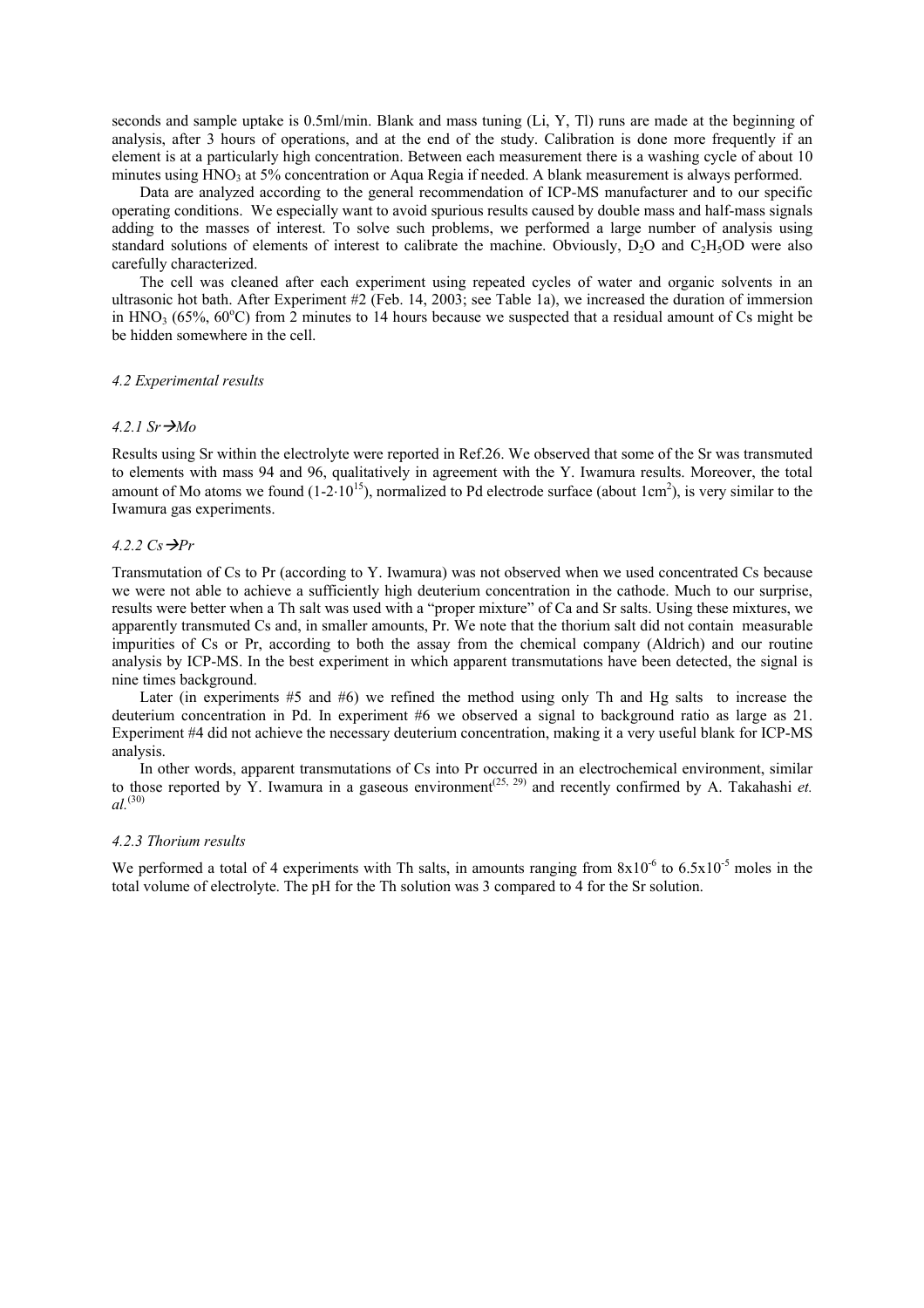seconds and sample uptake is 0.5ml/min. Blank and mass tuning (Li, Y, Tl) runs are made at the beginning of analysis, after 3 hours of operations, and at the end of the study. Calibration is done more frequently if an element is at a particularly high concentration. Between each measurement there is a washing cycle of about 10 minutes using HNO<sub>3</sub> at 5% concentration or Aqua Regia if needed. A blank measurement is always performed.

Data are analyzed according to the general recommendation of ICP-MS manufacturer and to our specific operating conditions. We especially want to avoid spurious results caused by double mass and half-mass signals adding to the masses of interest. To solve such problems, we performed a large number of analysis using standard solutions of elements of interest to calibrate the machine. Obviously,  $D_2O$  and  $C_2H_5OD$  were also carefully characterized.

The cell was cleaned after each experiment using repeated cycles of water and organic solvents in an ultrasonic hot bath. After Experiment #2 (Feb. 14, 2003; see Table 1a), we increased the duration of immersion in HNO<sub>3</sub> (65%, 60°C) from 2 minutes to 14 hours because we suspected that a residual amount of Cs might be be hidden somewhere in the cell.

#### *4.2 Experimental results*

#### $4.2.1$  Sr  $\rightarrow$ *Mo*

Results using Sr within the electrolyte were reported in Ref.26. We observed that some of the Sr was transmuted to elements with mass 94 and 96, qualitatively in agreement with the Y. Iwamura results. Moreover, the total amount of Mo atoms we found  $(1-2.10^{15})$ , normalized to Pd electrode surface (about  $1 \text{ cm}^2$ ), is very similar to the Iwamura gas experiments.

#### 4.2.2  $Cs \rightarrow Pr$

Transmutation of Cs to Pr (according to Y. Iwamura) was not observed when we used concentrated Cs because we were not able to achieve a sufficiently high deuterium concentration in the cathode. Much to our surprise, results were better when a Th salt was used with a "proper mixture" of Ca and Sr salts. Using these mixtures, we apparently transmuted Cs and, in smaller amounts, Pr. We note that the thorium salt did not contain measurable impurities of Cs or Pr, according to both the assay from the chemical company (Aldrich) and our routine analysis by ICP-MS. In the best experiment in which apparent transmutations have been detected, the signal is nine times background.

Later (in experiments #5 and #6) we refined the method using only Th and Hg salts to increase the deuterium concentration in Pd. In experiment #6 we observed a signal to background ratio as large as 21. Experiment #4 did not achieve the necessary deuterium concentration, making it a very useful blank for ICP-MS analysis.

In other words, apparent transmutations of Cs into Pr occurred in an electrochemical environment, similar to those reported by Y. Iwamura in a gaseous environment<sup> $(25, 29)$ </sup> and recently confirmed by A. Takahashi *et*. *al.*(30)

#### *4.2.3 Thorium results*

We performed a total of 4 experiments with Th salts, in amounts ranging from  $8x10^{-6}$  to  $6.5x10^{-5}$  moles in the total volume of electrolyte. The pH for the Th solution was 3 compared to 4 for the Sr solution.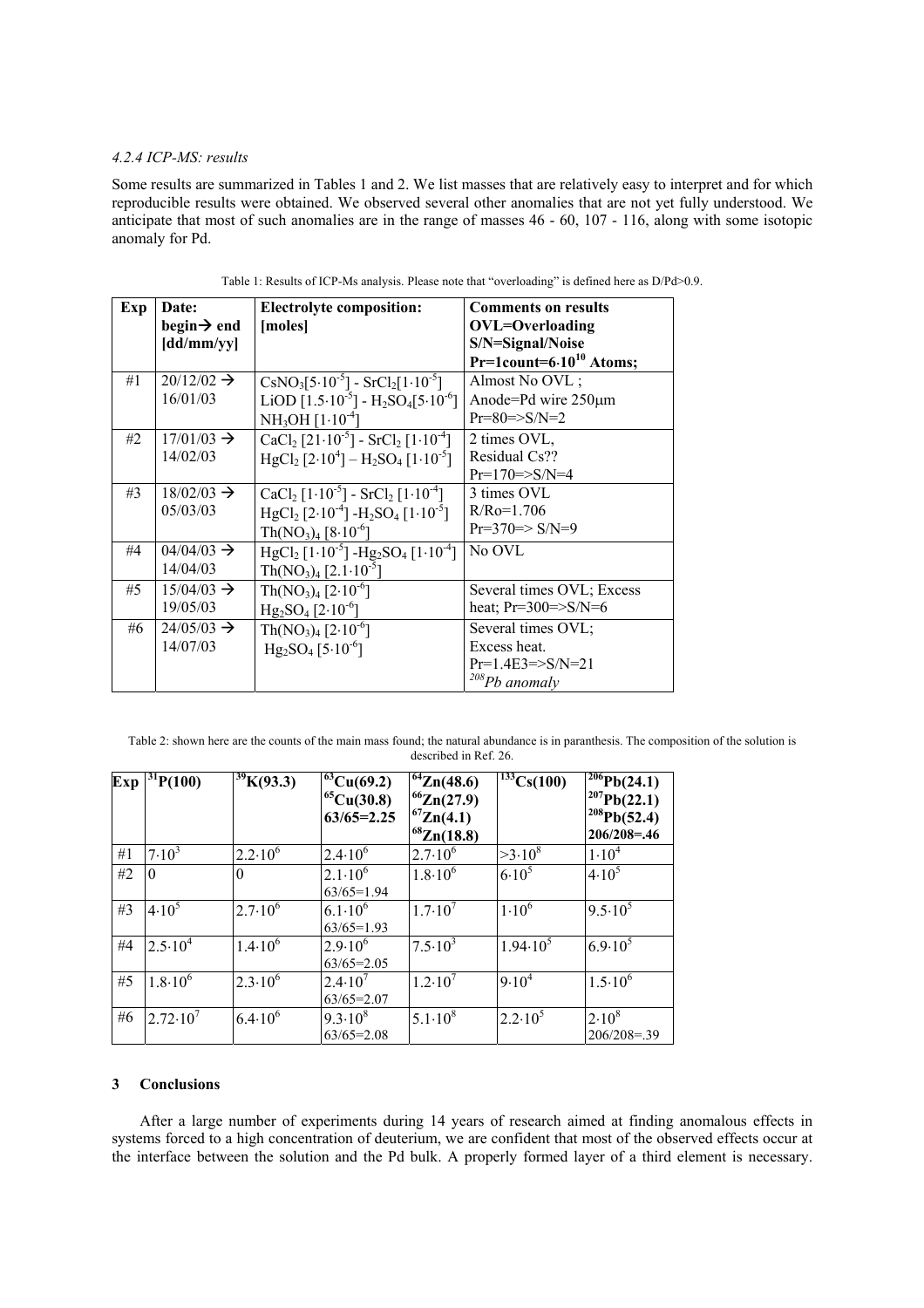# *4.2.4 ICP-MS: results*

Some results are summarized in Tables 1 and 2. We list masses that are relatively easy to interpret and for which reproducible results were obtained. We observed several other anomalies that are not yet fully understood. We anticipate that most of such anomalies are in the range of masses 46 - 60, 107 - 116, along with some isotopic anomaly for Pd.

| Exp | Date:                   | <b>Electrolyte composition:</b>                                                      | <b>Comments on results</b>             |  |
|-----|-------------------------|--------------------------------------------------------------------------------------|----------------------------------------|--|
|     | begin $\rightarrow$ end | [moles]                                                                              | <b>OVL=Overloading</b>                 |  |
|     | $\left[dd/mm/yy\right]$ |                                                                                      | S/N=Signal/Noise                       |  |
|     |                         |                                                                                      | $Pr=1$ count=6.10 <sup>10</sup> Atoms; |  |
| #1  | $20/12/02 \rightarrow$  | $\text{CsNO}_3[5.10^{-5}] - \text{SrCl}_2[1.10^{-5}]$                                | Almost No OVL;                         |  |
|     | 16/01/03                | LiOD $[1.5 \cdot 10^{-5}] - H_2SO_4[5 \cdot 10^{-6}]$                                | Anode=Pd wire 250µm                    |  |
|     |                         | $NH3OH [1·10-4]$                                                                     | $Pr=80 \Rightarrow SNN=2$              |  |
| #2  | $17/01/03 \rightarrow$  | $CaCl2 [21 \cdot 10^{-5}] - SrCl2 [1 \cdot 10^{-4}]$                                 | 2 times OVL,                           |  |
|     | 14/02/03                | $HgCl_2$ [2.10 <sup>4</sup> ] – H <sub>2</sub> SO <sub>4</sub> [1.10 <sup>-5</sup> ] | Residual Cs??                          |  |
|     |                         |                                                                                      | $Pr=170 = >S/N=4$                      |  |
| #3  | $18/02/03 \rightarrow$  | $CaCl2 [1 \cdot 10^{-5}] - SrCl2 [1 \cdot 10^{-4}]$                                  | 3 times OVL                            |  |
|     | 05/03/03                | $HgCl_2$ [2·10 <sup>-4</sup> ] - $H_2SO_4$ [1·10 <sup>-5</sup> ]                     | $R/Ro=1.706$                           |  |
|     |                         | $Th(NO_3)_4 [8.10^{-6}]$                                                             | $Pr=370 \Rightarrow S/N=9$             |  |
| #4  | $04/04/03 \rightarrow$  | $HgCl_2$ [1.10 <sup>-5</sup> ] - $Hg_2SO_4$ [1.10 <sup>-4</sup> ]                    | No OVL                                 |  |
|     | 14/04/03                | $Th(NO_3)_4 [2.1 \cdot 10^{-5}]$                                                     |                                        |  |
| #5  | $15/04/03 \rightarrow$  | $Th(NO_3)_4 [2.10^{-6}]$                                                             | Several times OVL; Excess              |  |
|     | 19/05/03                | $Hg_2SO_4$ [2.10 <sup>-6</sup> ]                                                     | heat; $Pr=300=>S/N=6$                  |  |
| #6  | $24/05/03 \rightarrow$  | $Th(NO3)4 [2.10-6]$                                                                  | Several times OVL;                     |  |
|     | 14/07/03                | $Hg_2SO_4$ [5.10 <sup>-6</sup> ]                                                     | Excess heat.                           |  |
|     |                         |                                                                                      | $Pr=1.4E3 = >S/N=21$                   |  |
|     |                         |                                                                                      | $208Pb$ anomaly                        |  |

Table 1: Results of ICP-Ms analysis. Please note that "overloading" is defined here as D/Pd>0.9.

Table 2: shown here are the counts of the main mass found; the natural abundance is in paranthesis. The composition of the solution is described in Ref. 26.

| Exp | 31P(100)           | $\overline{^{39}}K(93.3)$ | $^{63}Cu(69.2)$<br>$^{65}Cu(30.8)$<br>$63/65 = 2.25$ | $1^{64}Zn(48.6)$<br>$^{66}Zn(27.9)$<br>$^{67}Zn(4.1)$<br>$^{68}Zn(18.8)$ | $\frac{133}{133}Cs(100)$ | $1^{206}Pb(24.1)$<br>$1^{207}Pb(22.1)$<br>$1^{208}Pb(52.4)$<br>$206/208 = 0.46$ |
|-----|--------------------|---------------------------|------------------------------------------------------|--------------------------------------------------------------------------|--------------------------|---------------------------------------------------------------------------------|
| #1  | $7.10^{3}$         | $2.2 \cdot 10^6$          | $2.4 \cdot 10^{6}$                                   | $2.7 \cdot 10^{6}$                                                       | $>3.10^8$                | $1.10^{4}$                                                                      |
| #2  | $\Omega$           | $\theta$                  | $2.1 \cdot 10^6$<br>$63/65=1.94$                     | $1.8 \cdot 10^6$                                                         | $6.10^{5}$               | $4.10^{5}$                                                                      |
| #3  | $4.10^{5}$         | $2.7 \cdot 10^6$          | $6.1 \cdot 10^{6}$<br>$63/65=1.93$                   | $1.7 \cdot 10^{7}$                                                       | $1.10^{6}$               | $9.5 \cdot 10^5$                                                                |
| #4  | $2.5 \cdot 10^4$   | $1.4 \cdot 10^6$          | $2.9 \cdot 10^{6}$<br>$63/65=2.05$                   | $7.5 \cdot 10^3$                                                         | $1.94 \cdot 10^{5}$      | $6.9 \cdot 10^5$                                                                |
| #5  | $1.8 \cdot 10^{6}$ | $2.3 \cdot 10^{6}$        | $2.4 \cdot 10^{7}$<br>$63/65=2.07$                   | $1.2 \cdot 10^{7}$                                                       | $9.10^4$                 | $1.5 \cdot 10^{6}$                                                              |
| #6  | $2.72 \cdot 10'$   | $6.4 \cdot 10^6$          | $9.3 \cdot 10^8$<br>$63/65=2.08$                     | $5.1 \cdot 10^8$                                                         | $2.2 \cdot 10^5$         | $2.10^{8}$<br>$206/208 = 39$                                                    |

#### **3 Conclusions**

After a large number of experiments during 14 years of research aimed at finding anomalous effects in systems forced to a high concentration of deuterium, we are confident that most of the observed effects occur at the interface between the solution and the Pd bulk. A properly formed layer of a third element is necessary.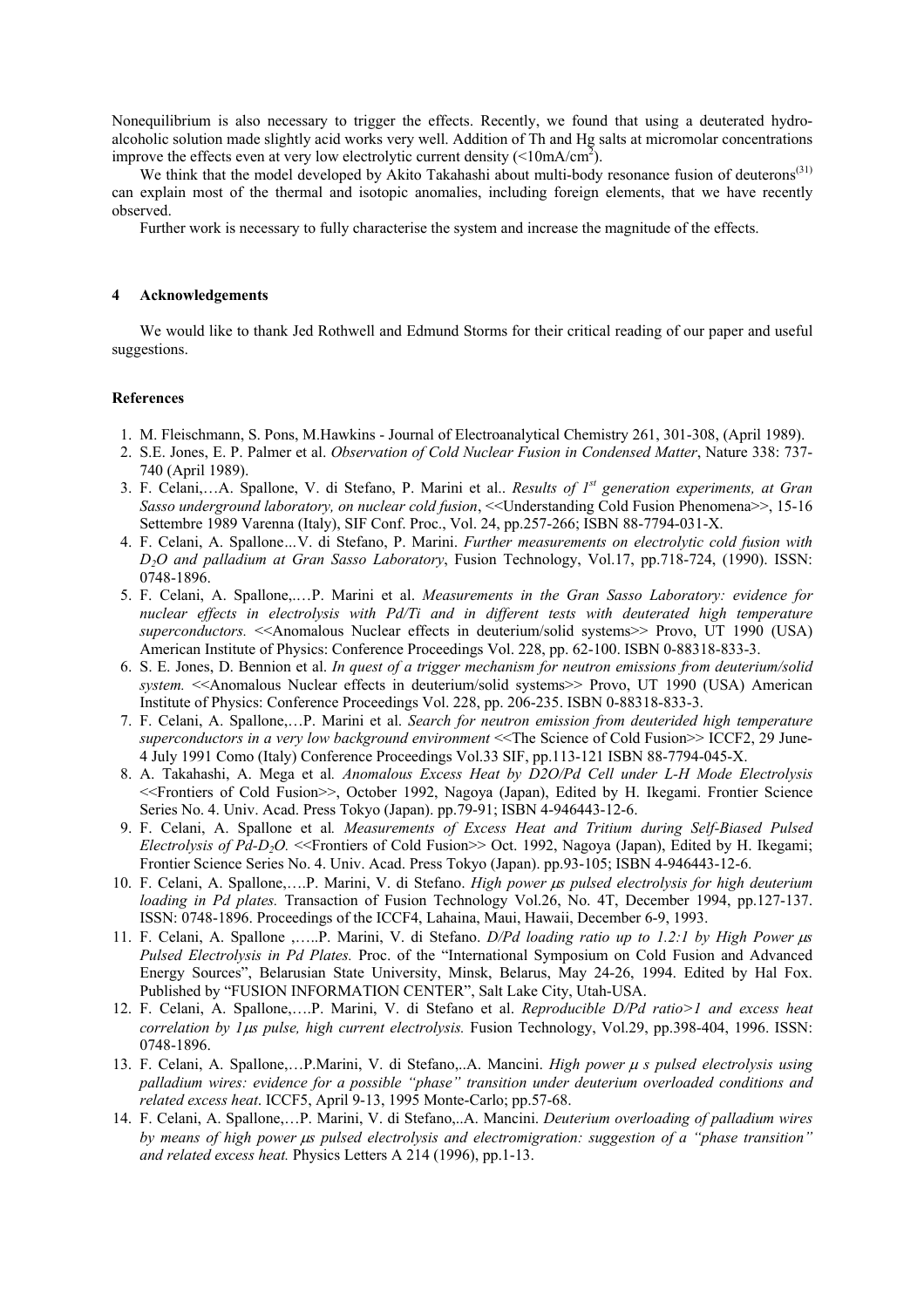Nonequilibrium is also necessary to trigger the effects. Recently, we found that using a deuterated hydroalcoholic solution made slightly acid works very well. Addition of Th and Hg salts at micromolar concentrations improve the effects even at very low electrolytic current density ( $\leq 10 \text{mA/cm}^2$ ).

We think that the model developed by Akito Takahashi about multi-body resonance fusion of deuterons<sup>(31)</sup> can explain most of the thermal and isotopic anomalies, including foreign elements, that we have recently observed.

Further work is necessary to fully characterise the system and increase the magnitude of the effects.

## **4 Acknowledgements**

We would like to thank Jed Rothwell and Edmund Storms for their critical reading of our paper and useful suggestions.

# **References**

- 1. M. Fleischmann, S. Pons, M.Hawkins Journal of Electroanalytical Chemistry 261, 301-308, (April 1989).
- 2. S.E. Jones, E. P. Palmer et al. *Observation of Cold Nuclear Fusion in Condensed Matter*, Nature 338: 737- 740 (April 1989).
- 3. F. Celani,…A. Spallone, V. di Stefano, P. Marini et al.. *Results of 1st generation experiments, at Gran Sasso underground laboratory, on nuclear cold fusion*, <<Understanding Cold Fusion Phenomena>>, 15-16 Settembre 1989 Varenna (Italy), SIF Conf. Proc., Vol. 24, pp.257-266; ISBN 88-7794-031-X.
- 4. F. Celani, A. Spallone*…*V. di Stefano, P. Marini. *Further measurements on electrolytic cold fusion with D2O and palladium at Gran Sasso Laboratory*, Fusion Technology, Vol.17, pp.718-724, (1990). ISSN: 0748-1896.
- 5. F. Celani, A. Spallone,.…P. Marini et al. *Measurements in the Gran Sasso Laboratory: evidence for nuclear effects in electrolysis with Pd/Ti and in different tests with deuterated high temperature superconductors.* <<Anomalous Nuclear effects in deuterium/solid systems>> Provo, UT 1990 (USA) American Institute of Physics: Conference Proceedings Vol. 228, pp. 62-100. ISBN 0-88318-833-3.
- 6. S. E. Jones, D. Bennion et al. *In quest of a trigger mechanism for neutron emissions from deuterium/solid system.* <<Anomalous Nuclear effects in deuterium/solid systems>> Provo, UT 1990 (USA) American Institute of Physics: Conference Proceedings Vol. 228, pp. 206-235. ISBN 0-88318-833-3.
- 7. F. Celani, A. Spallone,…P. Marini et al. *Search for neutron emission from deuterided high temperature superconductors in a very low background environment* <<The Science of Cold Fusion>> ICCF2, 29 June-4 July 1991 Como (Italy) Conference Proceedings Vol.33 SIF, pp.113-121 ISBN 88-7794-045-X.
- 8. A. Takahashi, A. Mega et al*. Anomalous Excess Heat by D2O/Pd Cell under L-H Mode Electrolysis* <<Frontiers of Cold Fusion>>, October 1992, Nagoya (Japan), Edited by H. Ikegami. Frontier Science Series No. 4. Univ. Acad. Press Tokyo (Japan). pp.79-91; ISBN 4-946443-12-6.
- 9. F. Celani, A. Spallone et al*. Measurements of Excess Heat and Tritium during Self-Biased Pulsed Electrolysis of Pd-D2O.* <<Frontiers of Cold Fusion>> Oct. 1992, Nagoya (Japan), Edited by H. Ikegami; Frontier Science Series No. 4. Univ. Acad. Press Tokyo (Japan). pp.93-105; ISBN 4-946443-12-6.
- 10. F. Celani, A. Spallone,….P. Marini, V. di Stefano. *High power* µ*s pulsed electrolysis for high deuterium loading in Pd plates.* Transaction of Fusion Technology Vol.26, No. 4T, December 1994, pp.127-137. ISSN: 0748-1896. Proceedings of the ICCF4, Lahaina, Maui, Hawaii, December 6-9, 1993.
- 11. F. Celani, A. Spallone ,…..P. Marini, V. di Stefano. *D/Pd loading ratio up to 1.2:1 by High Power* µ*s Pulsed Electrolysis in Pd Plates.* Proc. of the "International Symposium on Cold Fusion and Advanced Energy Sources", Belarusian State University, Minsk, Belarus, May 24-26, 1994. Edited by Hal Fox. Published by "FUSION INFORMATION CENTER", Salt Lake City, Utah-USA.
- 12. F. Celani, A. Spallone,….P. Marini, V. di Stefano et al. *Reproducible D/Pd ratio>1 and excess heat correlation by 1*µ*s pulse, high current electrolysis.* Fusion Technology, Vol.29, pp.398-404, 1996. ISSN: 0748-1896.
- 13. F. Celani, A. Spallone,…P.Marini, V. di Stefano,..A. Mancini. *High power* µ *s pulsed electrolysis using palladium wires: evidence for a possible "phase" transition under deuterium overloaded conditions and related excess heat*. ICCF5, April 9-13, 1995 Monte-Carlo; pp.57-68.
- 14. F. Celani, A. Spallone,…P. Marini, V. di Stefano,..A. Mancini. *Deuterium overloading of palladium wires by means of high power* µ*s pulsed electrolysis and electromigration: suggestion of a "phase transition" and related excess heat.* Physics Letters A 214 (1996), pp.1-13.